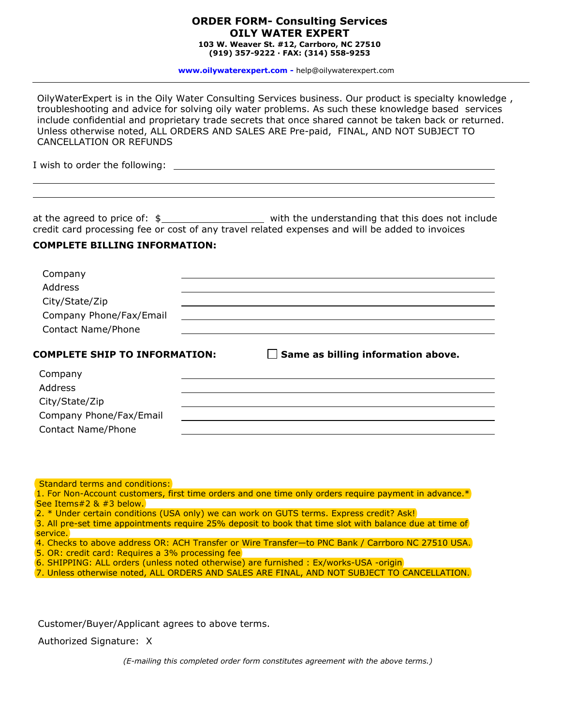## **ORDER FORM- Consulting Services OILY WATER EXPERT 103 W. Weaver St. #12, Carrboro, NC 27510**

**(919) 357-9222 · FAX: (314) 558-9253**

**www.oilywaterexpert.com -** [help@oilywaterexpert.com](mailto:help@oilywaterexpert.com)

I wish to order the following: at the agreed to price of:  $\frac{2}{3}$  with the understanding that this does not include credit card processing fee or cost of any travel related expenses and will be added to invoices **COMPLETE BILLING INFORMATION:**  Company Address City/State/Zip Company Phone/Fax/Email Contact Name/Phone **COMPLETE SHIP TO INFORMATION: Same as billing information above.** Company Address City/State/Zip Company Phone/Fax/Email Contact Name/Phone OilyWaterExpert is in the Oily Wat[er Consulting Services business. Our pr](www.oilywaterexpert.com)oduct is specialty knowledge , troubleshooting and advice for solving oily water problems. As such these knowledge based services include confidential and proprietary trade secrets that once shared cannot be taken back or returned. Unless otherwise noted, ALL ORDERS AND SALES ARE Pre-paid, FINAL, AND NOT SUBJECT TO CANCELLATION OR REFUNDS

## Standard terms and conditions:

1. For Non-Account customers, first time orders and one time only orders require payment in advance.\* See Items#2 & #3 below.

- 2. \* Under certain conditions (USA only) we can work on GUTS terms. Express credit? Ask!
- 3. All pre-set time appointments require 25% deposit to book that time slot with balance due at time of service.
- 4. Checks to above address OR: ACH Transfer or Wire Transfer—to PNC Bank / Carrboro NC 27510 USA.
- 5. OR: credit card: Requires a 3% processing fee
- 6. SHIPPING: ALL orders (unless noted otherwise) are furnished : Ex/works-USA -origin
- 7. Unless otherwise noted, ALL ORDERS AND SALES ARE FINAL, AND NOT SUBJECT TO CANCELLATION.

Customer/Buyer/Applicant agrees to above terms.

Authorized Signature: X

*(E-mailing this completed order form constitutes agreement with the above terms.)*